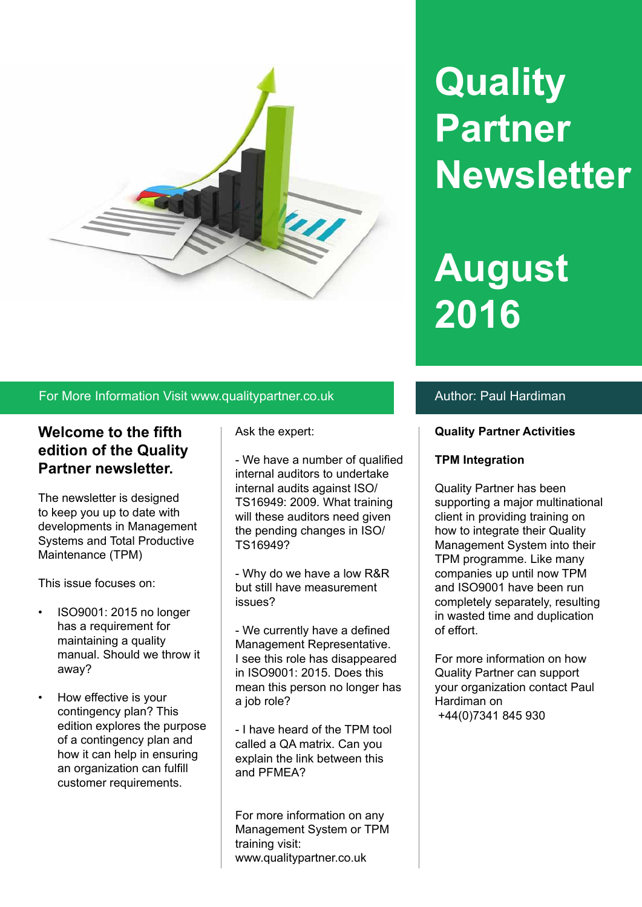

# **Quality Partner Newsletter**

# **August 2016**

#### For More Information Visit www.qualitypartner.co.uk Author: Paul Hardiman

### **Welcome to the fifth edition of the Quality Partner newsletter.**

The newsletter is designed to keep you up to date with developments in Management Systems and Total Productive Maintenance (TPM)

This issue focuses on:

- ISO9001: 2015 no longer has a requirement for maintaining a quality manual. Should we throw it away?
- How effective is your contingency plan? This edition explores the purpose of a contingency plan and how it can help in ensuring an organization can fulfill customer requirements.

Ask the expert:

- We have a number of qualified internal auditors to undertake internal audits against ISO/ TS16949: 2009. What training will these auditors need given the pending changes in ISO/ TS16949?

- Why do we have a low R&R but still have measurement issues?

- We currently have a defined Management Representative. I see this role has disappeared in ISO9001: 2015. Does this mean this person no longer has a job role?

- I have heard of the TPM tool called a QA matrix. Can you explain the link between this and PFMEA?

For more information on any Management System or TPM training visit: www.qualitypartner.co.uk

#### **Quality Partner Activities**

#### **TPM Integration**

Quality Partner has been supporting a major multinational client in providing training on how to integrate their Quality Management System into their TPM programme. Like many companies up until now TPM and ISO9001 have been run completely separately, resulting in wasted time and duplication of effort.

For more information on how Quality Partner can support your organization contact Paul Hardiman on +44(0)7341 845 930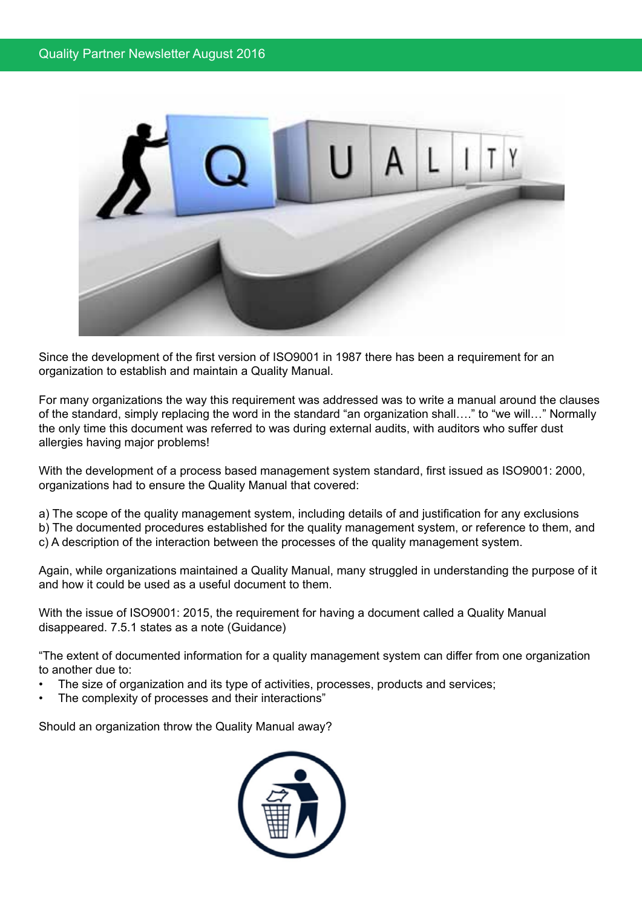

Since the development of the first version of ISO9001 in 1987 there has been a requirement for an organization to establish and maintain a Quality Manual.

For many organizations the way this requirement was addressed was to write a manual around the clauses of the standard, simply replacing the word in the standard "an organization shall…." to "we will…" Normally the only time this document was referred to was during external audits, with auditors who suffer dust allergies having major problems!

With the development of a process based management system standard, first issued as ISO9001: 2000, organizations had to ensure the Quality Manual that covered:

a) The scope of the quality management system, including details of and justification for any exclusions

b) The documented procedures established for the quality management system, or reference to them, and

c) A description of the interaction between the processes of the quality management system.

Again, while organizations maintained a Quality Manual, many struggled in understanding the purpose of it and how it could be used as a useful document to them.

With the issue of ISO9001: 2015, the requirement for having a document called a Quality Manual disappeared. 7.5.1 states as a note (Guidance)

"The extent of documented information for a quality management system can differ from one organization to another due to:

- The size of organization and its type of activities, processes, products and services;
- The complexity of processes and their interactions"

Should an organization throw the Quality Manual away?

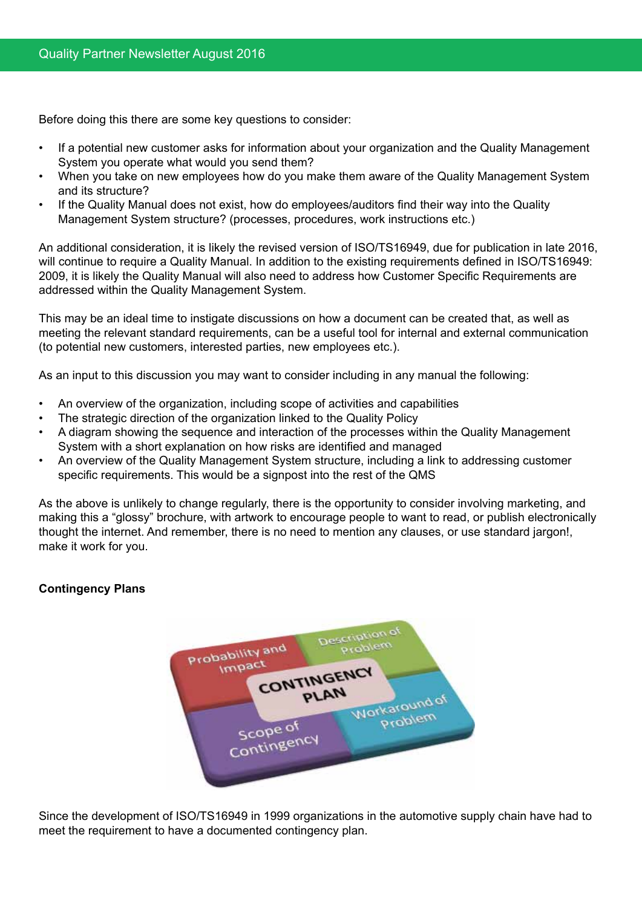Before doing this there are some key questions to consider:

- • If a potential new customer asks for information about your organization and the Quality Management System you operate what would you send them?
- When you take on new employees how do you make them aware of the Quality Management System and its structure?
- If the Quality Manual does not exist, how do employees/auditors find their way into the Quality Management System structure? (processes, procedures, work instructions etc.)

An additional consideration, it is likely the revised version of ISO/TS16949, due for publication in late 2016, will continue to require a Quality Manual. In addition to the existing requirements defined in ISO/TS16949: 2009, it is likely the Quality Manual will also need to address how Customer Specific Requirements are addressed within the Quality Management System.

This may be an ideal time to instigate discussions on how a document can be created that, as well as meeting the relevant standard requirements, can be a useful tool for internal and external communication (to potential new customers, interested parties, new employees etc.).

As an input to this discussion you may want to consider including in any manual the following:

- An overview of the organization, including scope of activities and capabilities
- The strategic direction of the organization linked to the Quality Policy
- A diagram showing the sequence and interaction of the processes within the Quality Management System with a short explanation on how risks are identified and managed
- An overview of the Quality Management System structure, including a link to addressing customer specific requirements. This would be a signpost into the rest of the QMS

As the above is unlikely to change regularly, there is the opportunity to consider involving marketing, and making this a "glossy" brochure, with artwork to encourage people to want to read, or publish electronically thought the internet. And remember, there is no need to mention any clauses, or use standard jargon!, make it work for you.

#### **Contingency Plans**



Since the development of ISO/TS16949 in 1999 organizations in the automotive supply chain have had to meet the requirement to have a documented contingency plan.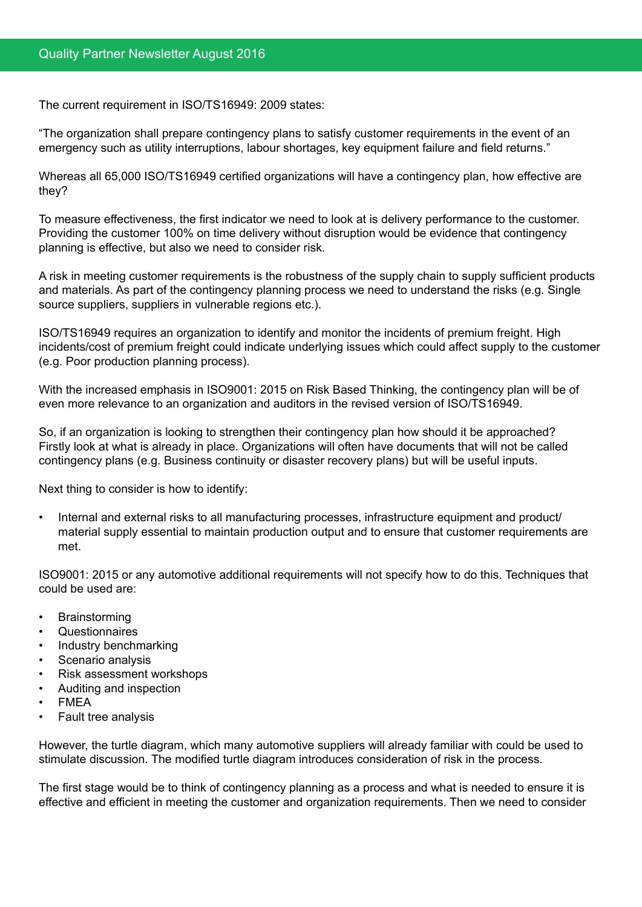The current requirement in ISO/TS16949: 2009 states:

"The organization shall prepare contingency plans to satisfy customer requirements in the event of an emergency such as utility interruptions, labour shortages, key equipment failure and field returns."

Whereas all 65,000 ISO/TS16949 certified organizations will have a contingency plan, how effective are they?

To measure effectiveness, the first indicator we need to look at is delivery performance to the customer. Providing the customer 100% on time delivery without disruption would be evidence that contingency planning is effective, but also we need to consider risk.

A risk in meeting customer requirements is the robustness of the supply chain to supply sufficient products and materials. As part of the contingency planning process we need to understand the risks (e.g. Single source suppliers, suppliers in vulnerable regions etc.).

ISO/TS16949 requires an organization to identify and monitor the incidents of premium freight. High incidents/cost of premium freight could indicate underlying issues which could affect supply to the customer (e.g. Poor production planning process).

With the increased emphasis in ISO9001: 2015 on Risk Based Thinking, the contingency plan will be of even more relevance to an organization and auditors in the revised version of ISO/TS16949.

So, if an organization is looking to strengthen their contingency plan how should it be approached? Firstly look at what is already in place. Organizations will often have documents that will not be called contingency plans (e.g. Business continuity or disaster recovery plans) but will be useful inputs.

Next thing to consider is how to identify:

Internal and external risks to all manufacturing processes, infrastructure equipment and product/ material supply essential to maintain production output and to ensure that customer requirements are met.

ISO9001: 2015 or any automotive additional requirements will not specify how to do this. Techniques that could be used are:

- **Brainstorming**
- **Questionnaires**
- Industry benchmarking
- Scenario analysis
- **Risk assessment workshops**
- Auditing and inspection
- **FMFA**
- **Fault tree analysis**

However, the turtle diagram, which many automotive suppliers will already familiar with could be used to stimulate discussion. The modified turtle diagram introduces consideration of risk in the process.

The first stage would be to think of contingency planning as a process and what is needed to ensure it is effective and efficient in meeting the customer and organization requirements. Then we need to consider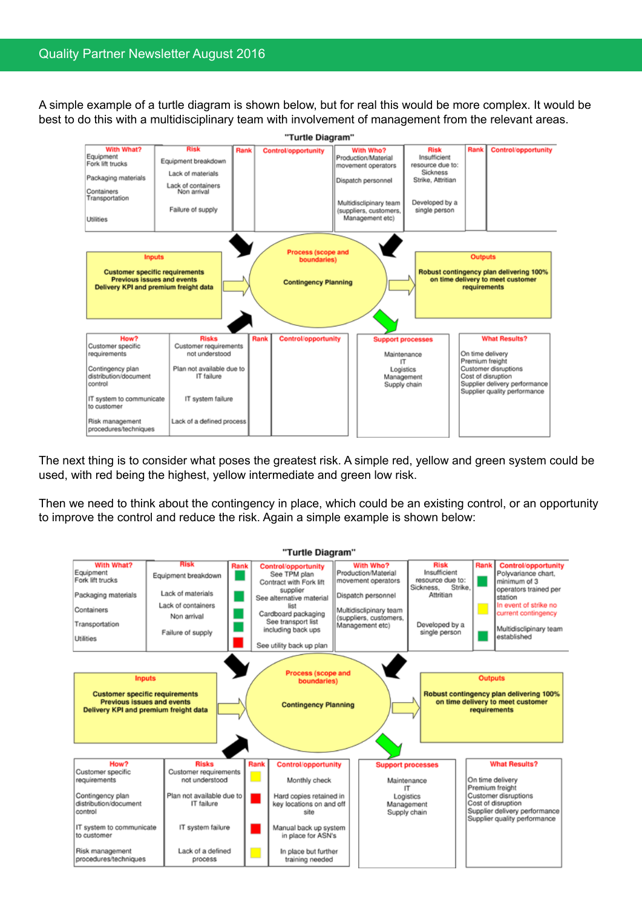#### Quality Partner Newsletter August 2016

A simple example of a turtle diagram is shown below, but for real this would be more complex. It would be best to do this with a multidisciplinary team with involvement of management from the relevant areas.



The next thing is to consider what poses the greatest risk. A simple red, yellow and green system could be used, with red being the highest, yellow intermediate and green low risk.

Then we need to think about the contingency in place, which could be an existing control, or an opportunity to improve the control and reduce the risk. Again a simple example is shown below:

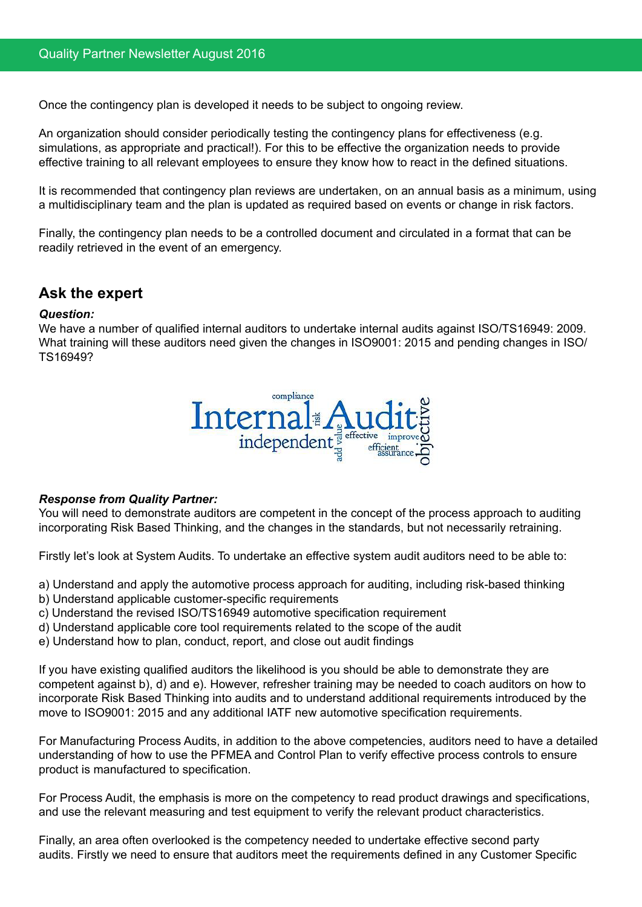Once the contingency plan is developed it needs to be subject to ongoing review.

An organization should consider periodically testing the contingency plans for effectiveness (e.g. simulations, as appropriate and practical!). For this to be effective the organization needs to provide effective training to all relevant employees to ensure they know how to react in the defined situations.

It is recommended that contingency plan reviews are undertaken, on an annual basis as a minimum, using a multidisciplinary team and the plan is updated as required based on events or change in risk factors.

Finally, the contingency plan needs to be a controlled document and circulated in a format that can be readily retrieved in the event of an emergency.

### **Ask the expert**

#### *Question:*

We have a number of qualified internal auditors to undertake internal audits against ISO/TS16949: 2009. What training will these auditors need given the changes in ISO9001: 2015 and pending changes in ISO/ TS16949?



#### *Response from Quality Partner:*

You will need to demonstrate auditors are competent in the concept of the process approach to auditing incorporating Risk Based Thinking, and the changes in the standards, but not necessarily retraining.

Firstly let's look at System Audits. To undertake an effective system audit auditors need to be able to:

- a) Understand and apply the automotive process approach for auditing, including risk-based thinking
- b) Understand applicable customer-specific requirements
- c) Understand the revised ISO/TS16949 automotive specification requirement
- d) Understand applicable core tool requirements related to the scope of the audit
- e) Understand how to plan, conduct, report, and close out audit findings

If you have existing qualified auditors the likelihood is you should be able to demonstrate they are competent against b), d) and e). However, refresher training may be needed to coach auditors on how to incorporate Risk Based Thinking into audits and to understand additional requirements introduced by the move to ISO9001: 2015 and any additional IATF new automotive specification requirements.

For Manufacturing Process Audits, in addition to the above competencies, auditors need to have a detailed understanding of how to use the PFMEA and Control Plan to verify effective process controls to ensure product is manufactured to specification.

For Process Audit, the emphasis is more on the competency to read product drawings and specifications, and use the relevant measuring and test equipment to verify the relevant product characteristics.

Finally, an area often overlooked is the competency needed to undertake effective second party audits. Firstly we need to ensure that auditors meet the requirements defined in any Customer Specific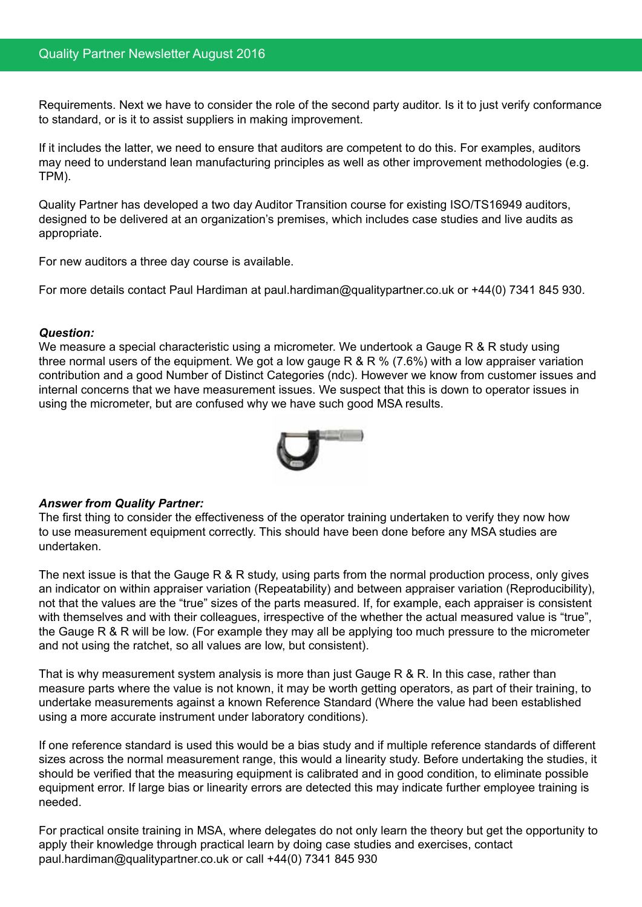Requirements. Next we have to consider the role of the second party auditor. Is it to just verify conformance to standard, or is it to assist suppliers in making improvement.

If it includes the latter, we need to ensure that auditors are competent to do this. For examples, auditors may need to understand lean manufacturing principles as well as other improvement methodologies (e.g. TPM).

Quality Partner has developed a two day Auditor Transition course for existing ISO/TS16949 auditors, designed to be delivered at an organization's premises, which includes case studies and live audits as appropriate.

For new auditors a three day course is available.

For more details contact Paul Hardiman at paul.hardiman@qualitypartner.co.uk or +44(0) 7341 845 930.

#### *Question:*

We measure a special characteristic using a micrometer. We undertook a Gauge R & R study using three normal users of the equipment. We got a low gauge R & R % (7.6%) with a low appraiser variation contribution and a good Number of Distinct Categories (ndc). However we know from customer issues and internal concerns that we have measurement issues. We suspect that this is down to operator issues in using the micrometer, but are confused why we have such good MSA results.



#### *Answer from Quality Partner:*

The first thing to consider the effectiveness of the operator training undertaken to verify they now how to use measurement equipment correctly. This should have been done before any MSA studies are undertaken.

The next issue is that the Gauge R & R study, using parts from the normal production process, only gives an indicator on within appraiser variation (Repeatability) and between appraiser variation (Reproducibility), not that the values are the "true" sizes of the parts measured. If, for example, each appraiser is consistent with themselves and with their colleagues, irrespective of the whether the actual measured value is "true", the Gauge R & R will be low. (For example they may all be applying too much pressure to the micrometer and not using the ratchet, so all values are low, but consistent).

That is why measurement system analysis is more than just Gauge R & R. In this case, rather than measure parts where the value is not known, it may be worth getting operators, as part of their training, to undertake measurements against a known Reference Standard (Where the value had been established using a more accurate instrument under laboratory conditions).

If one reference standard is used this would be a bias study and if multiple reference standards of different sizes across the normal measurement range, this would a linearity study. Before undertaking the studies, it should be verified that the measuring equipment is calibrated and in good condition, to eliminate possible equipment error. If large bias or linearity errors are detected this may indicate further employee training is needed.

For practical onsite training in MSA, where delegates do not only learn the theory but get the opportunity to apply their knowledge through practical learn by doing case studies and exercises, contact paul.hardiman@qualitypartner.co.uk or call +44(0) 7341 845 930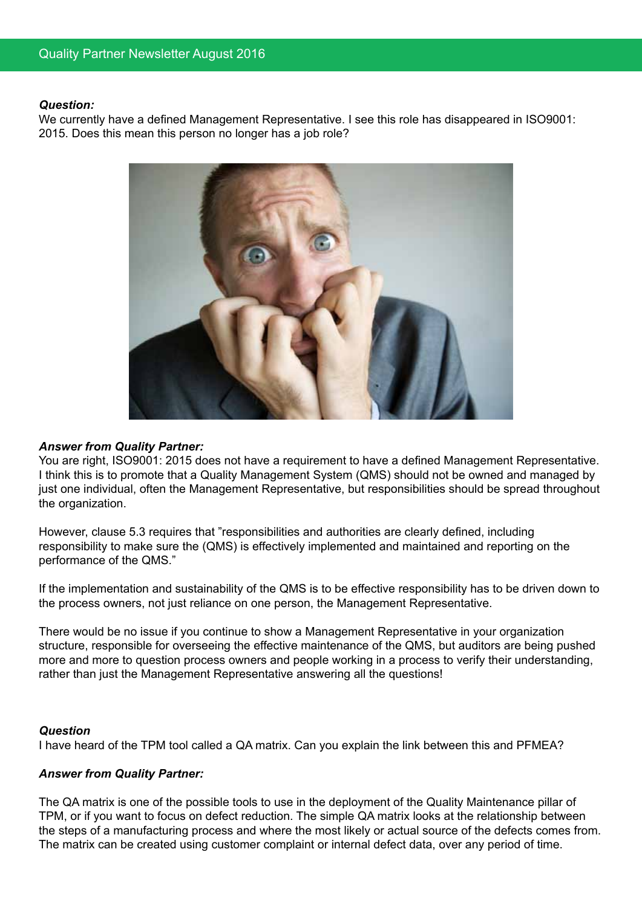#### *Question:*

We currently have a defined Management Representative. I see this role has disappeared in ISO9001: 2015. Does this mean this person no longer has a job role?



#### *Answer from Quality Partner:*

You are right, ISO9001: 2015 does not have a requirement to have a defined Management Representative. I think this is to promote that a Quality Management System (QMS) should not be owned and managed by just one individual, often the Management Representative, but responsibilities should be spread throughout the organization.

However, clause 5.3 requires that "responsibilities and authorities are clearly defined, including responsibility to make sure the (QMS) is effectively implemented and maintained and reporting on the performance of the QMS."

If the implementation and sustainability of the QMS is to be effective responsibility has to be driven down to the process owners, not just reliance on one person, the Management Representative.

There would be no issue if you continue to show a Management Representative in your organization structure, responsible for overseeing the effective maintenance of the QMS, but auditors are being pushed more and more to question process owners and people working in a process to verify their understanding, rather than just the Management Representative answering all the questions!

#### *Question*

I have heard of the TPM tool called a QA matrix. Can you explain the link between this and PFMEA?

#### *Answer from Quality Partner:*

The QA matrix is one of the possible tools to use in the deployment of the Quality Maintenance pillar of TPM, or if you want to focus on defect reduction. The simple QA matrix looks at the relationship between the steps of a manufacturing process and where the most likely or actual source of the defects comes from. The matrix can be created using customer complaint or internal defect data, over any period of time.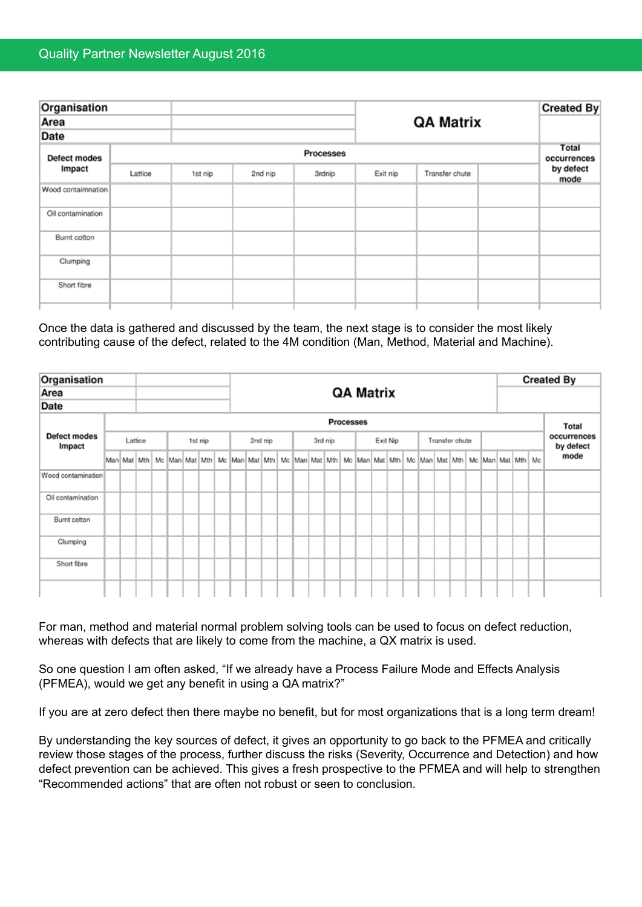| Organisation<br>Area |         |                  |                  |        |          |                |  | <b>Created By</b> |  |  |  |  |  |  |  |
|----------------------|---------|------------------|------------------|--------|----------|----------------|--|-------------------|--|--|--|--|--|--|--|
|                      |         |                  | <b>QA Matrix</b> |        |          |                |  |                   |  |  |  |  |  |  |  |
| Date                 |         |                  |                  |        |          |                |  |                   |  |  |  |  |  |  |  |
| Defect modes         |         | <b>Processes</b> |                  |        |          |                |  |                   |  |  |  |  |  |  |  |
| Impact               | Lattice | 1st nip          | 2nd nip          | 3rdnip | Exit nip | Transfer chute |  | by defect<br>mode |  |  |  |  |  |  |  |
| Wood contaimnation   |         |                  |                  |        |          |                |  |                   |  |  |  |  |  |  |  |
| Oil contamination    |         |                  |                  |        |          |                |  |                   |  |  |  |  |  |  |  |
| Burnt cotton         |         |                  |                  |        |          |                |  |                   |  |  |  |  |  |  |  |
| Clumping             |         |                  |                  |        |          |                |  |                   |  |  |  |  |  |  |  |
| Short fibre          |         |                  |                  |        |          |                |  |                   |  |  |  |  |  |  |  |
|                      |         |                  |                  |        |          |                |  |                   |  |  |  |  |  |  |  |

Once the data is gathered and discussed by the team, the next stage is to consider the most likely contributing cause of the defect, related to the 4M condition (Man, Method, Material and Machine).

| Organisation<br>Area                                                                                                 |         |           |  |                  |         |  |  |  |         |  |  |         |  |  |          |  |       | <b>Created By</b> |                |  |  |  |  |  |  |  |                                                                                                                                                         |  |      |  |
|----------------------------------------------------------------------------------------------------------------------|---------|-----------|--|------------------|---------|--|--|--|---------|--|--|---------|--|--|----------|--|-------|-------------------|----------------|--|--|--|--|--|--|--|---------------------------------------------------------------------------------------------------------------------------------------------------------|--|------|--|
|                                                                                                                      |         |           |  | <b>QA Matrix</b> |         |  |  |  |         |  |  |         |  |  |          |  |       |                   |                |  |  |  |  |  |  |  |                                                                                                                                                         |  |      |  |
|                                                                                                                      |         |           |  |                  |         |  |  |  |         |  |  |         |  |  |          |  |       |                   |                |  |  |  |  |  |  |  |                                                                                                                                                         |  |      |  |
| Date<br>Defect modes<br>Impact<br>Wood contamination<br>Oil contamination<br>Burnt cotton<br>Clumping<br>Short fibre |         | Processes |  |                  |         |  |  |  |         |  |  |         |  |  |          |  | Total |                   |                |  |  |  |  |  |  |  |                                                                                                                                                         |  |      |  |
|                                                                                                                      | Lattice |           |  |                  | 1st nip |  |  |  | 2nd nip |  |  | 3rd nip |  |  | Exit Nip |  |       |                   | Transfer chute |  |  |  |  |  |  |  | occurrences<br>by defect                                                                                                                                |  |      |  |
|                                                                                                                      |         |           |  |                  |         |  |  |  |         |  |  |         |  |  |          |  |       |                   |                |  |  |  |  |  |  |  | Man Mat Mth   Mc Man Mat Mth   Mc Man Mat   Mth   Mc Man Mat   Mth   Mc Man Mat   Mth   Mc Man Mat   Mth   Mc Man   Mat   Mth   Mc Man   Mat   Mth   Mc |  | mode |  |
|                                                                                                                      |         |           |  |                  |         |  |  |  |         |  |  |         |  |  |          |  |       |                   |                |  |  |  |  |  |  |  |                                                                                                                                                         |  |      |  |
|                                                                                                                      |         |           |  |                  |         |  |  |  |         |  |  |         |  |  |          |  |       |                   |                |  |  |  |  |  |  |  |                                                                                                                                                         |  |      |  |
|                                                                                                                      |         |           |  |                  |         |  |  |  |         |  |  |         |  |  |          |  |       |                   |                |  |  |  |  |  |  |  |                                                                                                                                                         |  |      |  |
|                                                                                                                      |         |           |  |                  |         |  |  |  |         |  |  |         |  |  |          |  |       |                   |                |  |  |  |  |  |  |  |                                                                                                                                                         |  |      |  |
|                                                                                                                      |         |           |  |                  |         |  |  |  |         |  |  |         |  |  |          |  |       |                   |                |  |  |  |  |  |  |  |                                                                                                                                                         |  |      |  |
|                                                                                                                      |         |           |  |                  |         |  |  |  |         |  |  |         |  |  |          |  |       |                   |                |  |  |  |  |  |  |  |                                                                                                                                                         |  |      |  |

For man, method and material normal problem solving tools can be used to focus on defect reduction, whereas with defects that are likely to come from the machine, a QX matrix is used.

So one question I am often asked, "If we already have a Process Failure Mode and Effects Analysis (PFMEA), would we get any benefit in using a QA matrix?"

If you are at zero defect then there maybe no benefit, but for most organizations that is a long term dream!

By understanding the key sources of defect, it gives an opportunity to go back to the PFMEA and critically review those stages of the process, further discuss the risks (Severity, Occurrence and Detection) and how defect prevention can be achieved. This gives a fresh prospective to the PFMEA and will help to strengthen "Recommended actions" that are often not robust or seen to conclusion.